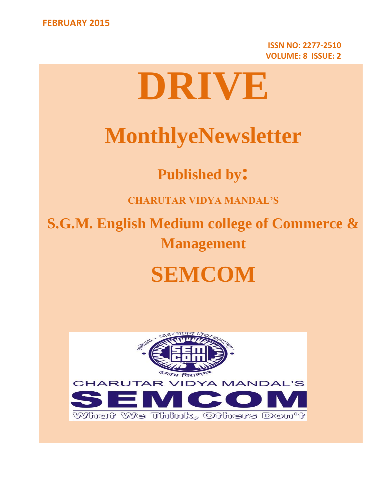**ISSN NO: 2277-2510 VOLUME: 8 ISSUE: 2**

# **DRIVE**

# **MonthlyeNewsletter**

**Published by:**

**CHARUTAR VIDYA MANDAL'S**

**S.G.M. English Medium college of Commerce & Management**

# **SEMCOM**

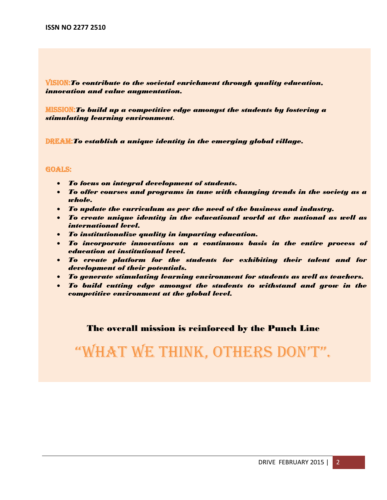VISION:*To contribute to the societal enrichment through quality education, innovation and value augmentation.*

MISSION:*To build up a competitive edge amongst the students by fostering a stimulating learning environment.*

DREAM:*To establish a unique identity in the emerging global village.*

#### GOALS:

- *To focus on integral development of students.*
- *To offer courses and programs in tune with changing trends in the society as a whole.*
- *To update the curriculum as per the need of the business and industry.*
- *To create unique identity in the educational world at the national as well as international level.*
- *To institutionalize quality in imparting education.*
- *To incorporate innovations on a continuous basis in the entire process of education at institutional level.*
- *To create platform for the students for exhibiting their talent and for development of their potentials.*
- *To generate stimulating learning environment for students as well as teachers.*
- *To build cutting edge amongst the students to withstand and grow in the competitive environment at the global level.*

#### The overall mission is reinforced by the Punch Line

# "What We think, Others DOn't".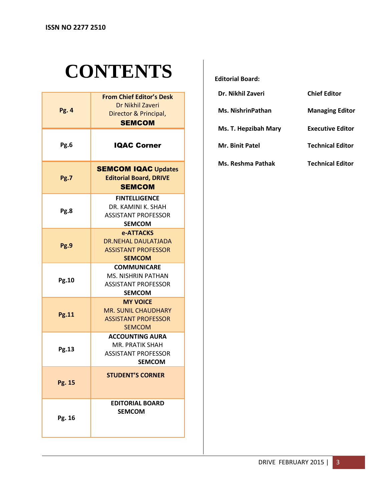# **CONTENTS**

| Pg. 4        | <b>From Chief Editor's Desk</b><br>Dr Nikhil Zaveri<br>Director & Principal,<br><b>SEMCOM</b>   |
|--------------|-------------------------------------------------------------------------------------------------|
| Pg.6         | <b>IQAC Corner</b>                                                                              |
| Pg.7         | <b>SEMCOM IQAC Updates</b><br><b>Editorial Board, DRIVE</b><br><b>SEMCOM</b>                    |
| Pg.8         | <b>FINTELLIGENCE</b><br>DR. KAMINI K. SHAH<br><b>ASSISTANT PROFESSOR</b><br><b>SEMCOM</b>       |
| Pg.9         | <b>e-ATTACKS</b><br><b>DR.NEHAL DAULATJADA</b><br><b>ASSISTANT PROFESSOR</b><br><b>SEMCOM</b>   |
| Pg.10        | <b>COMMUNICARE</b><br>MS. NISHRIN PATHAN<br><b>ASSISTANT PROFESSOR</b><br><b>SEMCOM</b>         |
| <b>Pg.11</b> | <b>MY VOICE</b><br><b>MR. SUNIL CHAUDHARY</b><br><b>ASSISTANT PROFESSOR</b><br><b>SEMCOM</b>    |
| Pg.13        | <b>ACCOUNTING AURA</b><br><b>MR. PRATIK SHAH</b><br><b>ASSISTANT PROFESSOR</b><br><b>SEMCOM</b> |
| Pg. 15       | <b>STUDENT'S CORNER</b>                                                                         |
| Pg. 16       | <b>EDITORIAL BOARD</b><br><b>SEMCOM</b>                                                         |

#### **Editorial Board:**

| Dr. Nikhil Zaveri      | <b>Chief Editor</b>     |
|------------------------|-------------------------|
| Ms. NishrinPathan      | <b>Managing Editor</b>  |
| Ms. T. Hepzibah Mary   | <b>Executive Editor</b> |
| <b>Mr. Binit Patel</b> | <b>Technical Editor</b> |
| Ms. Reshma Pathak      | <b>Technical Editor</b> |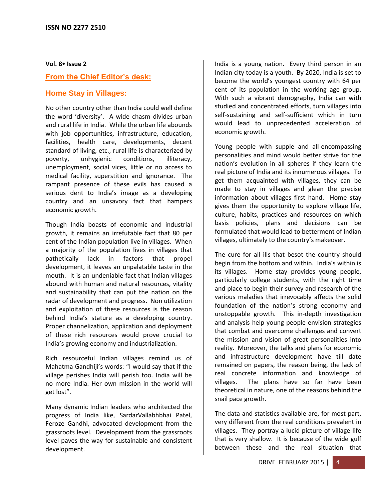#### **Vol. 8 Issue 2**

#### **From the Chief Editor's desk:**

#### **Home Stay in Villages:**

No other country other than India could well define the word 'diversity'. A wide chasm divides urban and rural life in India. While the urban life abounds with job opportunities, infrastructure, education, facilities, health care, developments, decent standard of living, etc., rural life is characterized by poverty, unhygienic conditions, illiteracy, unemployment, social vices, little or no access to medical facility, superstition and ignorance. The rampant presence of these evils has caused a serious dent to India's image as a developing country and an unsavory fact that hampers economic growth.

Though India boasts of economic and industrial growth, it remains an irrefutable fact that 80 per cent of the Indian population live in villages. When a majority of the population lives in villages that pathetically lack in factors that propel development, it leaves an unpalatable taste in the mouth. It is an undeniable fact that Indian villages abound with human and natural resources, vitality and sustainability that can put the nation on the radar of development and progress. Non utilization and exploitation of these resources is the reason behind India's stature as a developing country. Proper channelization, application and deployment of these rich resources would prove crucial to India's growing economy and industrialization.

Rich resourceful Indian villages remind us of Mahatma Gandhiji's words: "I would say that if the village perishes India will perish too. India will be no more India. Her own mission in the world will get lost".

Many dynamic Indian leaders who architected the progress of India like, SardarVallabhbhai Patel, Feroze Gandhi, advocated development from the grassroots level. Development from the grassroots level paves the way for sustainable and consistent development.

India is a young nation. Every third person in an Indian city today is a youth. By 2020, India is set to become the world's youngest country with 64 per cent of its population in the working age group. With such a vibrant demography, India can with studied and concentrated efforts, turn villages into self-sustaining and self-sufficient which in turn would lead to unprecedented acceleration of economic growth.

Young people with supple and all-encompassing personalities and mind would better strive for the nation's evolution in all spheres if they learn the real picture of India and its innumerous villages. To get them acquainted with villages, they can be made to stay in villages and glean the precise information about villages first hand. Home stay gives them the opportunity to explore village life, culture, habits, practices and resources on which basis policies, plans and decisions can be formulated that would lead to betterment of Indian villages, ultimately to the country's makeover.

The cure for all ills that besot the country should begin from the bottom and within. India's within is its villages. Home stay provides young people, particularly college students, with the right time and place to begin their survey and research of the various maladies that irrevocably affects the solid foundation of the nation's strong economy and unstoppable growth. This in-depth investigation and analysis help young people envision strategies that combat and overcome challenges and convert the mission and vision of great personalities into reality. Moreover, the talks and plans for economic and infrastructure development have till date remained on papers, the reason being, the lack of real concrete information and knowledge of villages. The plans have so far have been theoretical in nature, one of the reasons behind the snail pace growth.

The data and statistics available are, for most part, very different from the real conditions prevalent in villages. They portray a lucid picture of village life that is very shallow. It is because of the wide gulf between these and the real situation that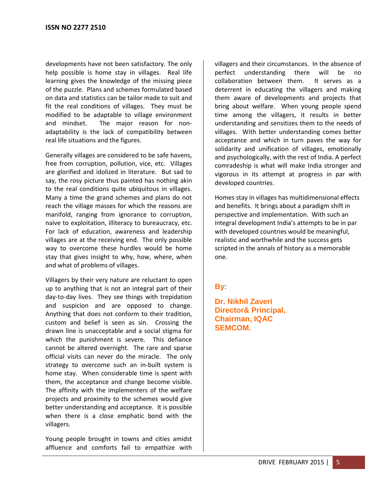developments have not been satisfactory. The only help possible is home stay in villages. Real life learning gives the knowledge of the missing piece of the puzzle. Plans and schemes formulated based on data and statistics can be tailor made to suit and fit the real conditions of villages. They must be modified to be adaptable to village environment and mindset. The major reason for nonadaptability is the lack of compatibility between real life situations and the figures.

Generally villages are considered to be safe havens, free from corruption, pollution, vice, etc. Villages are glorified and idolized in literature. But sad to say, the rosy picture thus painted has nothing akin to the real conditions quite ubiquitous in villages. Many a time the grand schemes and plans do not reach the village masses for which the reasons are manifold, ranging from ignorance to corruption, naïve to exploitation, illiteracy to bureaucracy, etc. For lack of education, awareness and leadership villages are at the receiving end. The only possible way to overcome these hurdles would be home stay that gives insight to why, how, where, when and what of problems of villages.

Villagers by their very nature are reluctant to open up to anything that is not an integral part of their day-to-day lives. They see things with trepidation and suspicion and are opposed to change. Anything that does not conform to their tradition, custom and belief is seen as sin. Crossing the drawn line is unacceptable and a social stigma for which the punishment is severe. This defiance cannot be altered overnight. The rare and sparse official visits can never do the miracle. The only strategy to overcome such an in-built system is home stay. When considerable time is spent with them, the acceptance and change become visible. The affinity with the implementers of the welfare projects and proximity to the schemes would give better understanding and acceptance. It is possible when there is a close emphatic bond with the villagers.

Young people brought in towns and cities amidst affluence and comforts fail to empathize with villagers and their circumstances. In the absence of perfect understanding there will be no collaboration between them. It serves as a deterrent in educating the villagers and making them aware of developments and projects that bring about welfare. When young people spend time among the villagers, it results in better understanding and sensitizes them to the needs of villages. With better understanding comes better acceptance and which in turn paves the way for solidarity and unification of villages, emotionally and psychologically, with the rest of India. A perfect comradeship is what will make India stronger and vigorous in its attempt at progress in par with developed countries.

Homes stay in villages has multidimensional effects and benefits. It brings about a paradigm shift in perspective and implementation. With such an integral development India's attempts to be in par with developed countries would be meaningful, realistic and worthwhile and the success gets scripted in the annals of history as a memorable one.

# **By:**

**Dr. Nikhil Zaveri Director& Principal, Chairman, IQAC SEMCOM.**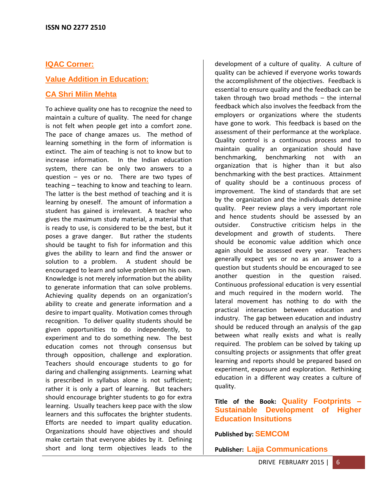### **IQAC Corner:**

# **Value Addition in Education:**

# **CA Shri Milin Mehta**

To achieve quality one has to recognize the need to maintain a culture of quality. The need for change is not felt when people get into a comfort zone. The pace of change amazes us. The method of learning something in the form of information is extinct. The aim of teaching is not to know but to increase information. In the Indian education system, there can be only two answers to a question – yes or no. There are two types of teaching – teaching to know and teaching to learn. The latter is the best method of teaching and it is learning by oneself. The amount of information a student has gained is irrelevant. A teacher who gives the maximum study material, a material that is ready to use, is considered to be the best, but it poses a grave danger. But rather the students should be taught to fish for information and this gives the ability to learn and find the answer or solution to a problem. A student should be encouraged to learn and solve problem on his own. Knowledge is not merely information but the ability to generate information that can solve problems. Achieving quality depends on an organization's ability to create and generate information and a desire to impart quality. Motivation comes through recognition. To deliver quality students should be given opportunities to do independently, to experiment and to do something new. The best education comes not through consensus but through opposition, challenge and exploration. Teachers should encourage students to go for daring and challenging assignments. Learning what is prescribed in syllabus alone is not sufficient; rather it is only a part of learning. But teachers should encourage brighter students to go for extra learning. Usually teachers keep pace with the slow learners and this suffocates the brighter students. Efforts are needed to impart quality education. Organizations should have objectives and should make certain that everyone abides by it. Defining short and long term objectives leads to the development of a culture of quality. A culture of quality can be achieved if everyone works towards the accomplishment of the objectives. Feedback is essential to ensure quality and the feedback can be taken through two broad methods – the internal feedback which also involves the feedback from the employers or organizations where the students have gone to work. This feedback is based on the assessment of their performance at the workplace. Quality control is a continuous process and to maintain quality an organization should have benchmarking, benchmarking not with an organization that is higher than it but also benchmarking with the best practices. Attainment of quality should be a continuous process of improvement. The kind of standards that are set by the organization and the individuals determine quality. Peer review plays a very important role and hence students should be assessed by an outsider. Constructive criticism helps in the development and growth of students. There should be economic value addition which once again should be assessed every year. Teachers generally expect yes or no as an answer to a question but students should be encouraged to see another question in the question raised. Continuous professional education is very essential and much required in the modern world. The lateral movement has nothing to do with the practical interaction between education and industry. The gap between education and industry should be reduced through an analysis of the gap between what really exists and what is really required. The problem can be solved by taking up consulting projects or assignments that offer great learning and reports should be prepared based on experiment, exposure and exploration. Rethinking education in a different way creates a culture of quality.

**Title of the Book: Quality Footprints – Sustainable Development of Higher Education Insitutions**

### **Published by: SEMCOM**

**Publisher: Lajja Communications**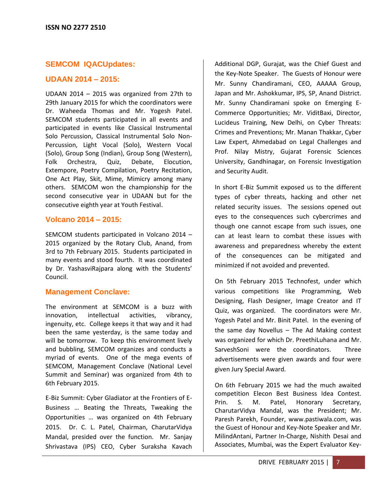# **SEMCOM IQACUpdates:**

### **UDAAN 2014 – 2015:**

UDAAN 2014 – 2015 was organized from 27th to 29th January 2015 for which the coordinators were Dr. Waheeda Thomas and Mr. Yogesh Patel. SEMCOM students participated in all events and participated in events like Classical Instrumental Solo Percussion, Classical Instrumental Solo Non-Percussion, Light Vocal (Solo), Western Vocal (Solo), Group Song (Indian), Group Song (Western), Folk Orchestra, Quiz, Debate, Elocution, Extempore, Poetry Compilation, Poetry Recitation, One Act Play, Skit, Mime, Mimicry among many others. SEMCOM won the championship for the second consecutive year in UDAAN but for the consecutive eighth year at Youth Festival.

# **Volcano 2014 – 2015:**

SEMCOM students participated in Volcano 2014 – 2015 organized by the Rotary Club, Anand, from 3rd to 7th February 2015. Students participated in many events and stood fourth. It was coordinated by Dr. YashasviRajpara along with the Students' Council.

# **Management Conclave:**

The environment at SEMCOM is a buzz with innovation, intellectual activities, vibrancy, ingenuity, etc. College keeps it that way and it had been the same yesterday, is the same today and will be tomorrow. To keep this environment lively and bubbling, SEMCOM organizes and conducts a myriad of events. One of the mega events of SEMCOM, Management Conclave (National Level Summit and Seminar) was organized from 4th to 6th February 2015.

E-Biz Summit: Cyber Gladiator at the Frontiers of E-Business … Beating the Threats, Tweaking the Opportunities … was organized on 4th February 2015. Dr. C. L. Patel, Chairman, CharutarVidya Mandal, presided over the function. Mr. Sanjay Shrivastava (IPS) CEO, Cyber Suraksha Kavach

Additional DGP, Gurajat, was the Chief Guest and the Key-Note Speaker. The Guests of Honour were Mr. Sunny Chandiramani, CEO, AAAAA Group, Japan and Mr. Ashokkumar, IPS, SP, Anand District. Mr. Sunny Chandiramani spoke on Emerging E-Commerce Opportunities; Mr. ViditBaxi, Director, Lucideus Training, New Delhi, on Cyber Threats: Crimes and Preventions; Mr. Manan Thakkar, Cyber Law Expert, Ahmedabad on Legal Challenges and Prof. Nilay Mistry, Gujarat Forensic Sciences University, Gandhinagar, on Forensic Investigation and Security Audit.

In short E-Biz Summit exposed us to the different types of cyber threats, hacking and other net related security issues. The sessions opened out eyes to the consequences such cybercrimes and though one cannot escape from such issues, one can at least learn to combat these issues with awareness and preparedness whereby the extent of the consequences can be mitigated and minimized if not avoided and prevented.

On 5th February 2015 Technofest, under which various competitions like Programming, Web Designing, Flash Designer, Image Creator and IT Quiz, was organized. The coordinators were Mr. Yogesh Patel and Mr. Binit Patel. In the evening of the same day Novellus – The Ad Making contest was organized for which Dr. PreethiLuhana and Mr. SarveshSoni were the coordinators. Three advertisements were given awards and four were given Jury Special Award.

On 6th February 2015 we had the much awaited competition Elecon Best Business Idea Contest. Prin. S. M. Patel, Honorary Secretary, CharutarVidya Mandal, was the President; Mr. Paresh Parekh, Founder, www.pastiwala.com, was the Guest of Honour and Key-Note Speaker and Mr. MilindAntani, Partner In-Charge, Nishith Desai and Associates, Mumbai, was the Expert Evaluator Key-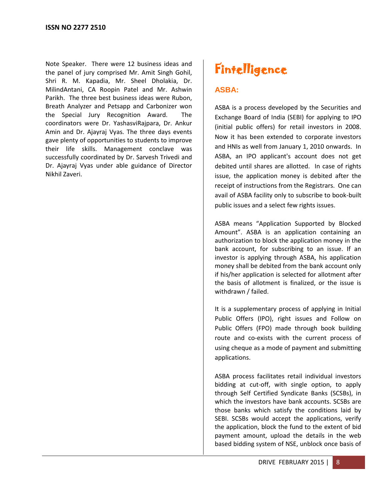Note Speaker. There were 12 business ideas and the panel of jury comprised Mr. Amit Singh Gohil, Shri R. M. Kapadia, Mr. Sheel Dholakia, Dr. MilindAntani, CA Roopin Patel and Mr. Ashwin Parikh. The three best business ideas were Rubon, Breath Analyzer and Petsapp and Carbonizer won the Special Jury Recognition Award. The coordinators were Dr. YashasviRajpara, Dr. Ankur Amin and Dr. Ajayraj Vyas. The three days events gave plenty of opportunities to students to improve their life skills. Management conclave was successfully coordinated by Dr. Sarvesh Trivedi and Dr. Ajayraj Vyas under able guidance of Director Nikhil Zaveri.

# **Fintelligence**

# **ASBA:**

ASBA is a process developed by the Securities and Exchange Board of India (SEBI) for applying to [IPO](http://en.wikipedia.org/wiki/Initial_public_offering) (initial public offers) for retail investors in 2008. Now it has been extended to corporate investors and HNIs as well from January 1, 2010 onwards. In ASBA, an IPO applicant's account does not get debited until shares are allotted. In case of rights issue, the application money is debited after the receipt of instructions from the Registrars. One can avail of ASBA facility only to subscribe to book-built public issues and a select few rights issues.

ASBA means "Application Supported by Blocked Amount". ASBA is an application containing an authorization to block the application money in the bank account, for subscribing to an issue. If an investor is applying through ASBA, his application money shall be debited from the bank account only if his/her application is selected for allotment after the basis of allotment is finalized, or the issue is withdrawn / failed.

It is a supplementary process of applying in Initial Public Offers (IPO), right issues and Follow on Public Offers (FPO) made through book building route and co-exists with the current process of using cheque as a mode of payment and submitting applications.

ASBA process facilitates retail individual investors bidding at cut-off, with single option, to apply through Self Certified Syndicate Banks (SCSBs), in which the investors have bank accounts. SCSBs are those banks which satisfy the conditions laid by SEBI. SCSBs would accept the applications, verify the application, block the fund to the extent of bid payment amount, upload the details in the web based bidding system of NSE, unblock once basis of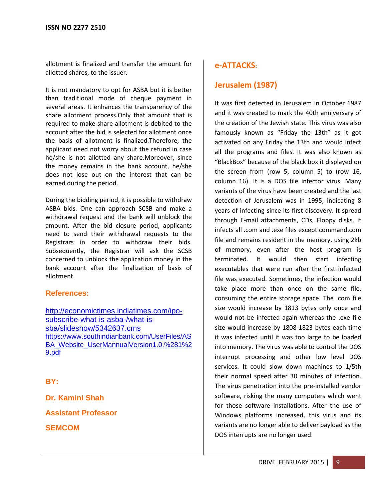allotment is finalized and transfer the amount for allotted shares, to the issuer.

It is not mandatory to opt for ASBA but it is better than traditional mode of cheque payment in several areas. It enhances the transparency of the share allotment process.Only that amount that is required to make share allotment is debited to the account after the bid is selected for allotment once the basis of allotment is finalized.Therefore, the applicant need not worry about the refund in case he/she is not allotted any share.Moreover, since the money remains in the bank account, he/she does not lose out on the interest that can be earned during the period.

During the bidding period, it is possible to withdraw ASBA bids. One can approach SCSB and make a withdrawal request and the bank will unblock the amount. After the bid closure period, applicants need to send their withdrawal requests to the Registrars in order to withdraw their bids. Subsequently, the Registrar will ask the SCSB concerned to unblock the application money in the bank account after the finalization of basis of allotment.

#### **References:**

[http://economictimes.indiatimes.com/ipo](http://economictimes.indiatimes.com/ipo-subscribe-what-is-asba-/what-is-sba/slideshow/5342637.cms)[subscribe-what-is-asba-/what-is](http://economictimes.indiatimes.com/ipo-subscribe-what-is-asba-/what-is-sba/slideshow/5342637.cms)[sba/slideshow/5342637.cms](http://economictimes.indiatimes.com/ipo-subscribe-what-is-asba-/what-is-sba/slideshow/5342637.cms) [https://www.southindianbank.com/UserFiles/AS](https://www.southindianbank.com/UserFiles/ASBA_Website_UserMannualVersion1.0.%281%29.pdf) [BA\\_Website\\_UserMannualVersion1.0.%281%2](https://www.southindianbank.com/UserFiles/ASBA_Website_UserMannualVersion1.0.%281%29.pdf) [9.pdf](https://www.southindianbank.com/UserFiles/ASBA_Website_UserMannualVersion1.0.%281%29.pdf)

### **BY:**

**Dr. Kamini Shah**

**Assistant Professor**

**SEMCOM**

# **e-ATTACKS:**

# **Jerusalem (1987)**

It was first detected in Jerusalem in October 1987 and it was created to mark the 40th anniversary of the creation of the Jewish state. This virus was also famously known as "Friday the 13th" as it got activated on any Friday the 13th and would infect all the programs and files. It was also known as "BlackBox" because of the black box it displayed on the screen from (row 5, column 5) to (row 16, column 16). It is a DOS file infector virus. Many variants of the virus have been created and the last detection of Jerusalem was in 1995, indicating 8 years of infecting since its first discovery. It spread through E-mail attachments, CDs, Floppy disks. It infects all .com and .exe files except command.com file and remains resident in the memory, using 2kb of memory, even after the host program is terminated. It would then start infecting executables that were run after the first infected file was executed. Sometimes, the infection would take place more than once on the same file, consuming the entire storage space. The .com file size would increase by 1813 bytes only once and would not be infected again whereas the .exe file size would increase by 1808-1823 bytes each time it was infected until it was too large to be loaded into memory. The virus was able to control the DOS interrupt processing and other low level DOS services. It could slow down machines to 1/5th their normal speed after 30 minutes of infection. The virus penetration into the pre-installed vendor software, risking the many computers which went for those software installations. After the use of Windows platforms increased, this virus and its variants are no longer able to deliver payload as the DOS interrupts are no longer used.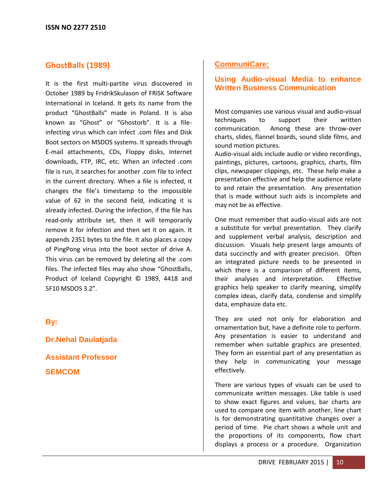# **GhostBalls (1989)**

It is the first multi-partite virus discovered in October 1989 by FridrikSkulason of FRISK Software International in Iceland. It gets its name from the product "GhostBalls" made in Poland. It is also known as "Ghost" or "Ghostorb". It is a fileinfecting virus which can infect .com files and Disk Boot sectors on MSDOS systems. It spreads through E-mail attachments, CDs, Floppy disks, Internet downloads, FTP, IRC, etc. When an infected .com file is run, it searches for another .com file to infect in the current directory. When a file is infected, it changes the file's timestamp to the impossible value of 62 in the second field, indicating it is already infected. During the infection, if the file has read-only attribute set, then it will temporarily remove it for infection and then set it on again. It appends 2351 bytes to the file. It also places a copy of PingPong virus into the boot sector of drive A. This virus can be removed by deleting all the .com files. The infected files may also show "GhostBalls, Product of Iceland Copyright © 1989, 4418 and 5F10 MSDOS 3.2".

#### **By:**

**Dr.Nehal Daulatjada**

**Assistant Professor SEMCOM**

# **CommuniCare:**

### **Using Audio-visual Media to enhance Written Business Communication**

Most companies use various visual and audio-visual techniques to support their written communication. Among these are throw-over charts, slides, flannel boards, sound slide films, and sound motion pictures.

Audio-visual aids include audio or video recordings, paintings, pictures, cartoons, graphics, charts, film clips, newspaper clippings, etc. These help make a presentation effective and help the audience relate to and retain the presentation. Any presentation that is made without such aids is incomplete and may not be as effective.

One must remember that audio-visual aids are not a substitute for verbal presentation. They clarify and supplement verbal analysis, description and discussion. Visuals help present large amounts of data succinctly and with greater precision. Often an integrated picture needs to be presented in which there is a comparison of different items, their analyses and interpretation. Effective graphics help speaker to clarify meaning, simplify complex ideas, clarify data, condense and simplify data, emphasize data etc.

They are used not only for elaboration and ornamentation but, have a definite role to perform. Any presentation is easier to understand and remember when suitable graphics are presented. They form an essential part of any presentation as they help in communicating your message effectively.

There are various types of visuals can be used to communicate written messages. Like table is used to show exact figures and values, bar charts are used to compare one item with another, line chart is for demonstrating quantitative changes over a period of time. Pie chart shows a whole unit and the proportions of its components, flow chart displays a process or a procedure. Organization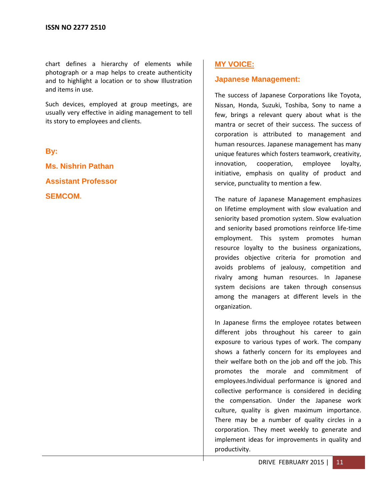chart defines a hierarchy of elements while photograph or a map helps to create authenticity and to highlight a location or to show Illustration and items in use.

Such devices, employed at group meetings, are usually very effective in aiding management to tell its story to employees and clients.

**By:**

**Ms. Nishrin Pathan Assistant Professor SEMCOM.**

# **MY VOICE:**

#### **Japanese Management:**

The success of Japanese Corporations like Toyota, Nissan, Honda, Suzuki, Toshiba, Sony to name a few, brings a relevant query about what is the mantra or secret of their success. The success of corporation is attributed to management and human resources. Japanese management has many unique features which fosters teamwork, creativity, innovation, cooperation, employee loyalty, initiative, emphasis on quality of product and service, punctuality to mention a few.

The nature of Japanese Management emphasizes on lifetime employment with slow evaluation and seniority based promotion system. Slow evaluation and seniority based promotions reinforce life-time employment. This system promotes human resource loyalty to the business organizations, provides objective criteria for promotion and avoids problems of jealousy, competition and rivalry among human resources. In Japanese system decisions are taken through consensus among the managers at different levels in the organization.

In Japanese firms the employee rotates between different jobs throughout his career to gain exposure to various types of work. The company shows a fatherly concern for its employees and their welfare both on the job and off the job. This promotes the morale and commitment of employees.Individual performance is ignored and collective performance is considered in deciding the compensation. Under the Japanese work culture, quality is given maximum importance. There may be a number of quality circles in a corporation. They meet weekly to generate and implement ideas for improvements in quality and productivity.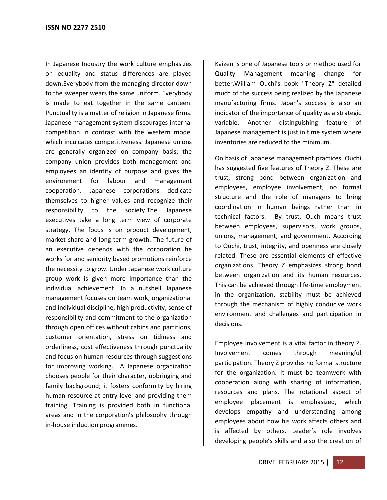In Japanese Industry the work culture emphasizes on equality and status differences are played down.Everybody from the managing director down to the sweeper wears the same uniform. Everybody is made to eat together in the same canteen. Punctuality is a matter of religion in Japanese firms. Japanese management system discourages internal competition in contrast with the western model which inculcates competitiveness. Japanese unions are generally organized on company basis; the company union provides both management and employees an identity of purpose and gives the environment for labour and management cooperation. Japanese corporations dedicate themselves to higher values and recognize their responsibility to the society.The Japanese executives take a long term view of corporate strategy. The focus is on product development, market share and long-term growth. The future of an executive depends with the corporation he works for and seniority based promotions reinforce the necessity to grow. Under Japanese work culture group work is given more importance than the individual achievement. In a nutshell Japanese management focuses on team work, organizational and individual discipline, high productivity, sense of responsibility and commitment to the organization through open offices without cabins and partitions, customer orientation, stress on tidiness and orderliness, cost effectiveness through punctuality and focus on human resources through suggestions for improving working. A Japanese organization chooses people for their character, upbringing and family background; it fosters conformity by hiring human resource at entry level and providing them training. Training is provided both in functional areas and in the corporation's philosophy through in-house induction programmes.

Kaizen is one of Japanese tools or method used for Quality Management meaning change for better.William Ouchi's book "Theory Z" detailed much of the success being realized by the Japanese manufacturing firms. Japan's success is also an indicator of the importance of quality as a strategic variable. Another distinguishing feature of Japanese management is just in time system where inventories are reduced to the minimum.

On basis of Japanese management practices, Ouchi has suggested five features of Theory Z. These are trust, strong bond between organization and employees, employee involvement, no formal structure and the role of managers to bring coordination in human beings rather than in technical factors. By trust, Ouch means trust between employees, supervisors, work groups, unions, management, and government. According to Ouchi, trust, integrity, and openness are closely related. These are essential elements of effective organizations. Theory Z emphasizes strong bond between organization and its human resources. This can be achieved through life-time employment in the organization, stability must be achieved through the mechanism of highly conducive work environment and challenges and participation in decisions.

Employee involvement is a vital factor in theory Z. Involvement comes through meaningful participation. Theory Z provides no formal structure for the organization. It must be teamwork with cooperation along with sharing of information, resources and plans. The rotational aspect of employee placement is emphasized, which develops empathy and understanding among employees about how his work affects others and is affected by others. Leader's role involves developing people's skills and also the creation of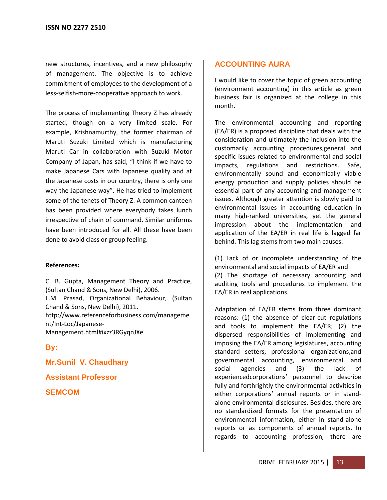new structures, incentives, and a new philosophy of management. The objective is to achieve commitment of employees to the development of a less-selfish-more-cooperative approach to work.

The process of implementing Theory Z has already started, though on a very limited scale. For example, Krishnamurthy, the former chairman of Maruti Suzuki Limited which is manufacturing Maruti Car in collaboration with Suzuki Motor Company of Japan, has said, "I think if we have to make Japanese Cars with Japanese quality and at the Japanese costs in our country, there is only one way-the Japanese way". He has tried to implement some of the tenets of Theory Z. A common canteen has been provided where everybody takes lunch irrespective of chain of command. Similar uniforms have been introduced for all. All these have been done to avoid class or group feeling.

#### **References:**

C. B. Gupta, Management Theory and Practice, (Sultan Chand & Sons, New Delhi), 2006. L.M. Prasad, Organizational Behaviour, (Sultan Chand & Sons, New Delhi), 2011. [http://www.referenceforbusiness.com/manageme](http://www.referenceforbusiness.com/management/Int-Loc/Japanese-Management.html#ixzz3RGyqnJXe) [nt/Int-Loc/Japanese-](http://www.referenceforbusiness.com/management/Int-Loc/Japanese-Management.html#ixzz3RGyqnJXe)[Management.html#ixzz3RGyqnJXe](http://www.referenceforbusiness.com/management/Int-Loc/Japanese-Management.html#ixzz3RGyqnJXe)

### **By:**

**Mr.Sunil V. Chaudhary Assistant Professor SEMCOM**

# **ACCOUNTING AURA**

I would like to cover the topic of green accounting (environment accounting) in this article as green business fair is organized at the college in this month.

The environmental accounting and reporting (EA/ER) is a proposed discipline that deals with the consideration and ultimately the inclusion into the customarily accounting procedures,general and specific issues related to environmental and social impacts, regulations and restrictions. Safe, environmentally sound and economically viable energy production and supply policies should be essential part of any accounting and management issues. Although greater attention is slowly paid to environmental issues in accounting education in many high-ranked universities, yet the general impression about the implementation and application of the EA/ER in real life is lagged far behind. This lag stems from two main causes:

(1) Lack of or incomplete understanding of the environmental and social impacts of EA/ER and (2) The shortage of necessary accounting and auditing tools and procedures to implement the EA/ER in real applications.

Adaptation of EA/ER stems from three dominant reasons: (1) the absence of clear-cut regulations and tools to implement the EA/ER; (2) the dispersed responsibilities of implementing and imposing the EA/ER among legislatures, accounting standard setters, professional organizations,and governmental accounting, environmental and social agencies and (3) the lack of experiencedcorporations' personnel to describe fully and forthrightly the environmental activities in either corporations' annual reports or in standalone environmental disclosures. Besides, there are no standardized formats for the presentation of environmental information, either in stand-alone reports or as components of annual reports. In regards to accounting profession, there are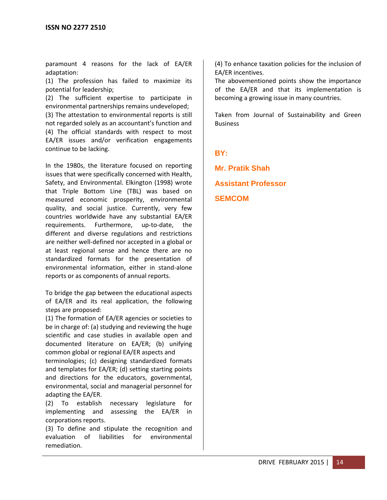paramount 4 reasons for the lack of EA/ER adaptation:

(1) The profession has failed to maximize its potential for leadership;

(2) The sufficient expertise to participate in environmental partnerships remains undeveloped;

(3) The attestation to environmental reports is still not regarded solely as an accountant's function and (4) The official standards with respect to most EA/ER issues and/or verification engagements continue to be lacking.

In the 1980s, the literature focused on reporting issues that were specifically concerned with Health, Safety, and Environmental. Elkington (1998) wrote that Triple Bottom Line (TBL) was based on measured economic prosperity, environmental quality, and social justice. Currently, very few countries worldwide have any substantial EA/ER requirements. Furthermore, up-to-date, the different and diverse regulations and restrictions are neither well-defined nor accepted in a global or at least regional sense and hence there are no standardized formats for the presentation of environmental information, either in stand-alone reports or as components of annual reports.

To bridge the gap between the educational aspects of EA/ER and its real application, the following steps are proposed:

(1) The formation of EA/ER agencies or societies to be in charge of: (a) studying and reviewing the huge scientific and case studies in available open and documented literature on EA/ER; (b) unifying common global or regional EA/ER aspects and

terminologies; (c) designing standardized formats and templates for EA/ER; (d) setting starting points and directions for the educators, governmental, environmental, social and managerial personnel for adapting the EA/ER.

(2) To establish necessary legislature for implementing and assessing the EA/ER in corporations reports.

(3) To define and stipulate the recognition and evaluation of liabilities for environmental remediation.

(4) To enhance taxation policies for the inclusion of EA/ER incentives.

The abovementioned points show the importance of the EA/ER and that its implementation is becoming a growing issue in many countries.

Taken from Journal of Sustainability and Green Business

# **BY:**

**Mr. Pratik Shah Assistant Professor SEMCOM**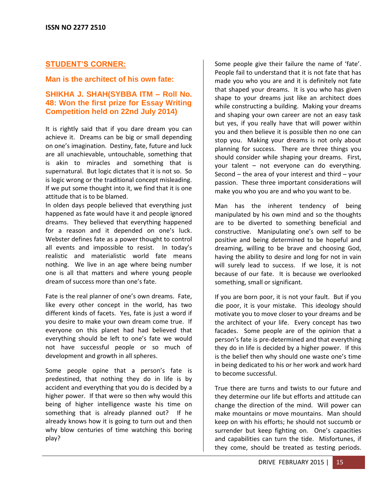# **STUDENT'S CORNER:**

### **Man is the architect of his own fate:**

# **SHIKHA J. SHAH(SYBBA ITM – Roll No. 48: Won the first prize for Essay Writing Competition held on 22nd July 2014)**

It is rightly said that if you dare dream you can achieve it. Dreams can be big or small depending on one's imagination. Destiny, fate, future and luck are all unachievable, untouchable, something that is akin to miracles and something that is supernatural. But logic dictates that it is not so. So is logic wrong or the traditional concept misleading. If we put some thought into it, we find that it is one attitude that is to be blamed.

In olden days people believed that everything just happened as fate would have it and people ignored dreams. They believed that everything happened for a reason and it depended on one's luck. Webster defines fate as a power thought to control all events and impossible to resist. In today's realistic and materialistic world fate means nothing. We live in an age where being number one is all that matters and where young people dream of success more than one's fate.

Fate is the real planner of one's own dreams. Fate, like every other concept in the world, has two different kinds of facets. Yes, fate is just a word if you desire to make your own dream come true. If everyone on this planet had had believed that everything should be left to one's fate we would not have successful people or so much of development and growth in all spheres.

Some people opine that a person's fate is predestined, that nothing they do in life is by accident and everything that you do is decided by a higher power. If that were so then why would this being of higher intelligence waste his time on something that is already planned out? If he already knows how it is going to turn out and then why blow centuries of time watching this boring play?

Some people give their failure the name of 'fate'. People fail to understand that it is not fate that has made you who you are and it is definitely not fate that shaped your dreams. It is you who has given shape to your dreams just like an architect does while constructing a building. Making your dreams and shaping your own career are not an easy task but yes, if you really have that will power within you and then believe it is possible then no one can stop you. Making your dreams is not only about planning for success. There are three things you should consider while shaping your dreams. First, your talent – not everyone can do everything. Second – the area of your interest and third – your passion. These three important considerations will make you who you are and who you want to be.

Man has the inherent tendency of being manipulated by his own mind and so the thoughts are to be diverted to something beneficial and constructive. Manipulating one's own self to be positive and being determined to be hopeful and dreaming, willing to be brave and choosing God, having the ability to desire and long for not in vain will surely lead to success. If we lose, it is not because of our fate. It is because we overlooked something, small or significant.

If you are born poor, it is not your fault. But if you die poor, it is your mistake. This ideology should motivate you to move closer to your dreams and be the architect of your life. Every concept has two facades. Some people are of the opinion that a person's fate is pre-determined and that everything they do in life is decided by a higher power. If this is the belief then why should one waste one's time in being dedicated to his or her work and work hard to become successful.

True there are turns and twists to our future and they determine our life but efforts and attitude can change the direction of the mind. Will power can make mountains or move mountains. Man should keep on with his efforts; he should not succumb or surrender but keep fighting on. One's capacities and capabilities can turn the tide. Misfortunes, if they come, should be treated as testing periods.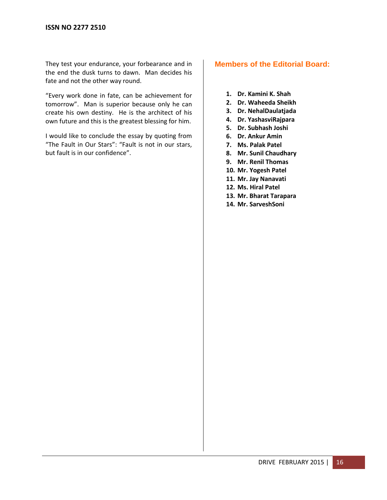They test your endurance, your forbearance and in the end the dusk turns to dawn. Man decides his fate and not the other way round.

"Every work done in fate, can be achievement for tomorrow". Man is superior because only he can create his own destiny. He is the architect of his own future and this is the greatest blessing for him.

I would like to conclude the essay by quoting from "The Fault in Our Stars": "Fault is not in our stars, but fault is in our confidence".

### **Members of the Editorial Board:**

- **1. Dr. Kamini K. Shah**
- **2. Dr. Waheeda Sheikh**
- **3. Dr. NehalDaulatjada**
- **4. Dr. YashasviRajpara**
- **5. Dr. Subhash Joshi**
- **6. Dr. Ankur Amin**
- **7. Ms. Palak Patel**
- **8. Mr. Sunil Chaudhary**
- **9. Mr. Renil Thomas**
- **10. Mr. Yogesh Patel**
- **11. Mr. Jay Nanavati**
- **12. Ms. Hiral Patel**
- **13. Mr. Bharat Tarapara**
- **14. Mr. SarveshSoni**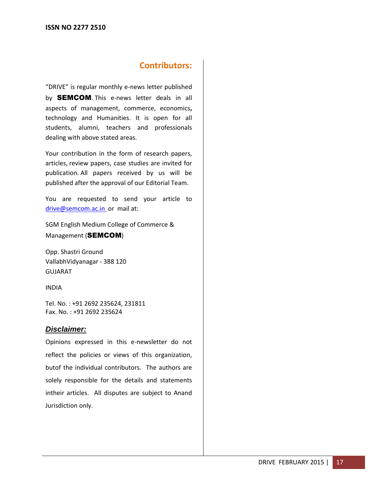# **Contributors:**

"DRIVE" is regular monthly e-news letter published by **SEMCOM**. This e-news letter deals in all aspects of management, commerce, economics**,**  technology and Humanities. It is open for all students, alumni, teachers and professionals dealing with above stated areas.

Your contribution in the form of research papers, articles, review papers, case studies are invited for publication. All papers received by us will be published after the approval of our Editorial Team.

You are requested to send your article to [drive@semcom.ac.in](mailto:drive@semcom.ac.in) or mail at:

SGM English Medium College of Commerce & Management (SEMCOM)

Opp. Shastri Ground VallabhVidyanagar - 388 120 GUJARAT

INDIA

Tel. No. : +91 2692 235624, 231811 Fax. No. : +91 2692 235624

### *Disclaimer:*

Opinions expressed in this e-newsletter do not reflect the policies or views of this organization, butof the individual contributors. The authors are solely responsible for the details and statements intheir articles. All disputes are subject to Anand Jurisdiction only.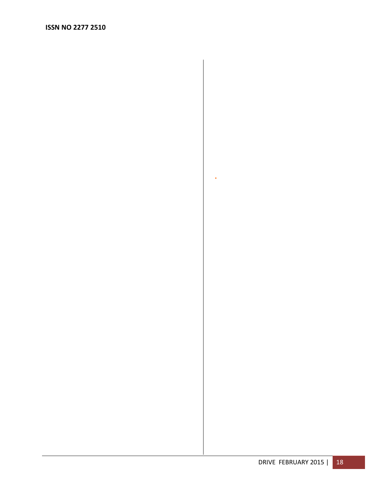**.**